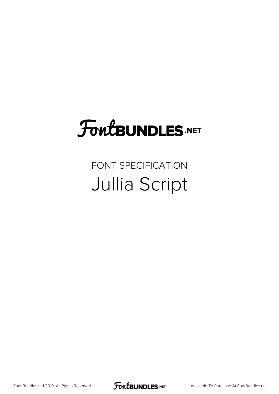## **FoutBUNDLES.NET**

## FONT SPECIFICATION Jullia Script

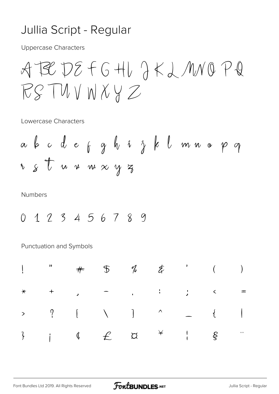## Jullia Script - Regular

**Uppercase Characters** 

Lowercase Characters

**Numbers** 

0 1 2 3 4 5 6 7 8 9

Punctuation and Symbols

|  |  |  | $\frac{1}{2}$ , $\frac{1}{2}$ , $\frac{1}{2}$ , $\frac{1}{2}$ , $\frac{1}{2}$ , $\frac{1}{2}$ , $\frac{1}{2}$ , $\frac{1}{2}$ , $\frac{1}{2}$ , $\frac{1}{2}$ , $\frac{1}{2}$ , $\frac{1}{2}$ , $\frac{1}{2}$ , $\frac{1}{2}$ , $\frac{1}{2}$ , $\frac{1}{2}$ , $\frac{1}{2}$ , $\frac{1}{2}$ , $\frac{1$ |  |
|--|--|--|-----------------------------------------------------------------------------------------------------------------------------------------------------------------------------------------------------------------------------------------------------------------------------------------------------------|--|
|  |  |  | $*$ + , - , : ; < =                                                                                                                                                                                                                                                                                       |  |
|  |  |  |                                                                                                                                                                                                                                                                                                           |  |
|  |  |  |                                                                                                                                                                                                                                                                                                           |  |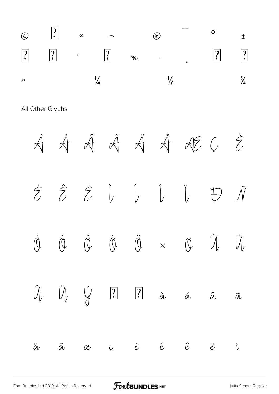|       |  |               | $\circ$ a $\circ$ $\circ$ $\circ$ $\circ$                         |  |  |
|-------|--|---------------|-------------------------------------------------------------------|--|--|
|       |  |               | $\begin{array}{ccccccccccccccccc}\n2 & & & 3 & & & \n\end{array}$ |  |  |
| $\gg$ |  | $\frac{1}{4}$ | $\frac{1}{2}$                                                     |  |  |

All Other Glyphs

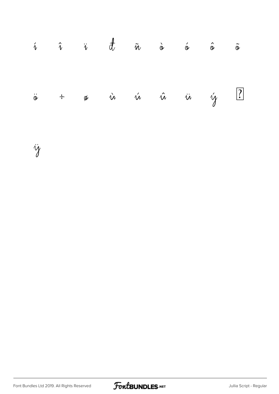|  |  |  | $\hat{\imath}$ $\hat{\imath}$ $\vec{v}$ $\frac{1}{\tilde{w}}$ $\hat{\varpi}$ $\hat{\varpi}$ $\hat{\varpi}$ $\hat{\varpi}$ |  |
|--|--|--|---------------------------------------------------------------------------------------------------------------------------|--|
|  |  |  | $\ddot{\circ}$ + $\circ$ $\dot{u}$ $\acute{u}$ $\ddot{u}$ $\dot{u}$ $\dot{y}$ $\Box$                                      |  |

ÿ

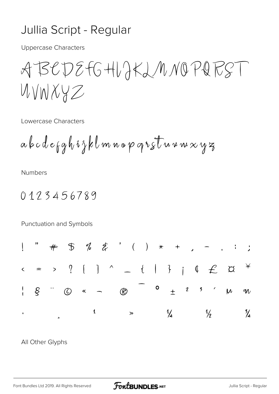## Jullia Script - Regular

**Uppercase Characters** 

ABCDEFGHLJKLMNOPQRST UVNXYZ

Lowercase Characters

**Numbers** 

0123456789

Punctuation and Symbols



All Other Glyphs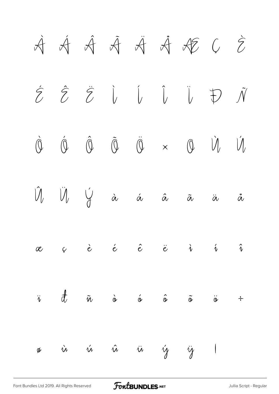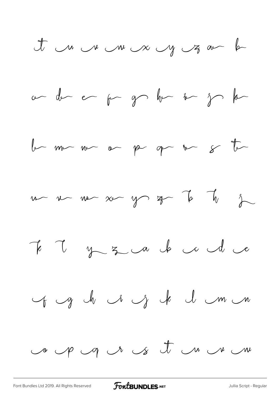et un un un un y z au h









of g h i j k l m n

co up up us it un un